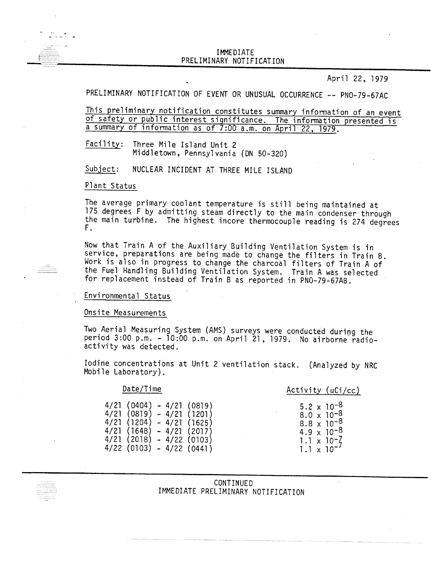## IMMEDIATE PRELIMINARY NOTIFICATION IMMEDIATE<br>PRELIMINARY NOTIFICATION<br>PRELIMINARY NOTIFICATION

April 22, 1979

# PRELIMINARY NOTIFICATION OF EVENT OR UNUSUAL OCCURRENCE -- PNO-79-67AC

This preliminary notification constitutes summary information of an event of safety or public interest significance. The information presented is a summary of information as of 7:00 a.m. on April 22, 1979.

Facility: Three Mile Island Unit 2 Middletown, Pennsylvania (DN 50-320)

Subject: NUCLEAR INCIDENT AT THREE MILE ISLAND

## Plant Status

The average primary coolant temperature is still being maintained at 175 degrees F by admitting steam directly to the main condenser through the main turbine. The highest incore thermocouple reading is 274 degrees F.

Now that Train A of the Auxiliary Building Ventilation System is in service, preparations are being made to change the filters in Train B. Work is also in progress to change the charcoal filters of Train A of the Fuel Handling Building Ventilation System. Train A was selected for replacement instead of Train B as reported in PNO-79-67AB.

#### Environmental Status

Onsite Measurements

Two Aerial Measuring System (AMS) surveys were conducted during the period 3:00 p.m. - 10:00 p.m. on April 21, 1979. No airborne radioactivity was detected.

Iodine concentrations at Unit 2 ventilation stack. (Analyzed by NRC Mobile Laboratory).

#### Date/Time

Activity (uCi/cc)

5.2  $\times$  10<sup>-8</sup>  $8.0 \times 10^{-8}$  $8.8 \times 10^{-8}$  $4.9 \times 10^{-8}$ 1.1 x 10-7  $1.1 \times 10^{-7}$ 

| 4/21 | (0404) | - 4/21  | (0819)        |
|------|--------|---------|---------------|
| 4/21 | (0819) | $-4/21$ | (1201)        |
| 4/21 | (1204) | - 4/21  | (1625)        |
| 4/21 | (1648) | - 4/21  | (2017)        |
| 4/21 | (2018) |         | - 4/22 (0103) |
| 4/22 | (0103) |         | - 4/22 (0441) |

CONTINUED IMMEDIATE PRELIMINARY NOTIFICATION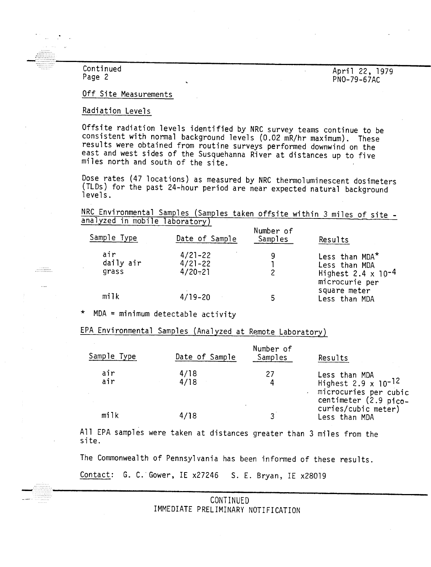Page 2 PNO-79-67ACC PNO-79-67ACC PNO-79-67ACC PNO-79-67ACC PNO-79-67ACC PNO-79-67ACC PNO-79-67ACC PNO-79-67ACC

............

 $\cdots$ 

 $\frac{1}{22.1979}$  Continued Continued April 22, 1979<br>
Page 2 PNO-79-67AC

### Off Site Measurements

## Radiation Levels

Offstte radiation levels identified by NRC survey teams continue to be consistent with normal background levels (0.02 mR/hr maximum). These results were obtained from routine surveys performed downwind on the east and west sides of the Susquehanna River at distances up to five miles north and south of the site.

Dose rates (47 locations) as measured by NRC thermo1uminescent dosimeters (TLDs) for the past 24-hour period are near expected natural background levels.

NRC Environmental Samples (Samples taken offsite within 3 miles of site analyzed in mobile laboratory)

| Sample Type               | Date of Sample                            | Number of<br>Samples | Results                                                                                       |
|---------------------------|-------------------------------------------|----------------------|-----------------------------------------------------------------------------------------------|
| air<br>daily air<br>grass | $4/21 - 22$<br>$4/21 - 22$<br>$4/20 - 21$ | 9                    | Less than $MDA^*$<br>Less than MDA<br>Highest 2.4 $\times$ 10 <sup>-4</sup><br>microcurie per |
| milk                      | $4/19 - 20$                               |                      | square meter<br>Less than MDA                                                                 |

\* MDA <sup>=</sup> minimum detectable activity

EPA Environmental Samples (Analyzed at Remote Laboratory)

| Sample Type | Date of Sample | Number of<br>Samples | Results                                                                                       |
|-------------|----------------|----------------------|-----------------------------------------------------------------------------------------------|
| air<br>air  | 4/18<br>4/18   | 27<br>4              | Less than MDA<br>Highest 2.9 x $10^{-12}$<br>microcuries per cubic<br>centimeter $(2.9$ pico- |
| milk        | 4/18           | G                    | curies/cubic meter)<br>Less than MDA                                                          |

All EPA samples were taken at distances greater than 3 miles from the site.

The Commonwealth of Pennsylvania has been informed of these results.

Contact: G. C. Gower, IE x27246 S. E. Bryan, IE x28019

> CONTINUED IMMEDIATE PRELIMINARY NOTIFICATION